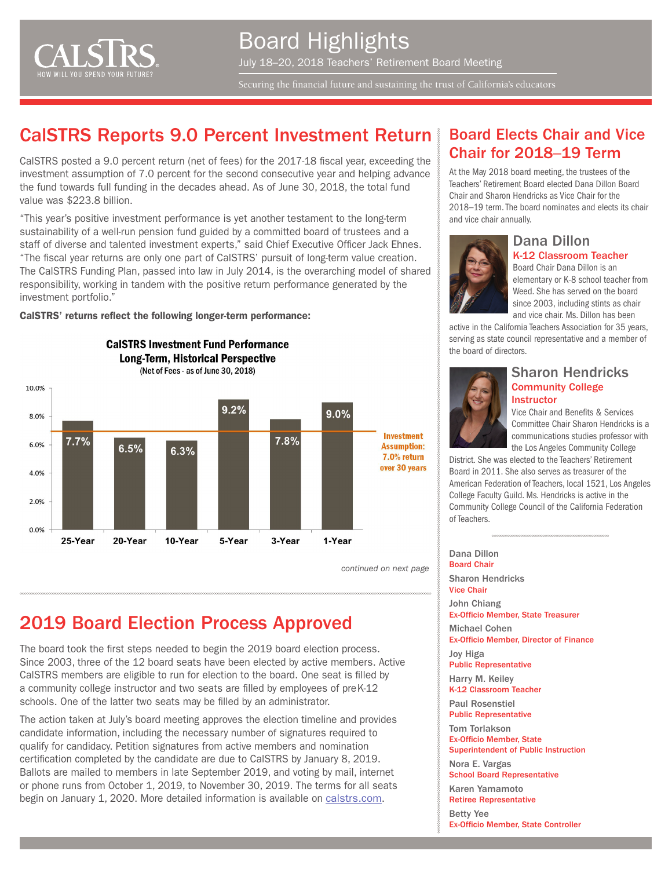

Securing the financial future and sustaining the trust of California's educators

## CalSTRS Reports 9.0 Percent Investment Return

CalSTRS posted a 9.0 percent return (net of fees) for the 2017-18 fiscal year, exceeding the investment assumption of 7.0 percent for the second consecutive year and helping advance the fund towards full funding in the decades ahead. As of June 30, 2018, the total fund value was \$223.8 billion.

"This year's positive investment performance is yet another testament to the long-term sustainability of a well-run pension fund guided by a committed board of trustees and a staff of diverse and talented investment experts," said Chief Executive Officer Jack Ehnes. "The fiscal year returns are only one part of CalSTRS' pursuit of long-term value creation. The CalSTRS Funding Plan, passed into law in July 2014, is the overarching model of shared responsibility, working in tandem with the positive return performance generated by the investment portfolio."

CalSTRS' returns reflect the following longer-term performance:

**CalSTRS Investment Fund Performance Long-Term, Historical Perspective** 



*continued on next page*

# 2019 Board Election Process Approved

The board took the first steps needed to begin the 2019 board election process. Since 2003, three of the 12 board seats have been elected by active members. Active CalSTRS members are eligible to run for election to the board. One seat is filled by a community college instructor and two seats are filled by employees of preK-12 schools. One of the latter two seats may be filled by an administrator.

The action taken at July's board meeting approves the election timeline and provides candidate information, including the necessary number of signatures required to qualify for candidacy. Petition signatures from active members and nomination certification completed by the candidate are due to CalSTRS by January 8, 2019. Ballots are mailed to members in late September 2019, and voting by mail, internet or phone runs from October 1, 2019, to November 30, 2019. The terms for all seats begin on January 1, 2020. More detailed information is available on [calstrs.com.](https://www.calstrs.com/whats-new/board-elections-be-held-2019-candidate-information)

#### Board Elects Chair and Vice Chair for 2018–19 Term

At the May 2018 board meeting, the trustees of the Teachers' Retirement Board elected Dana Dillon Board Chair and Sharon Hendricks as Vice Chair for the 2018–19 term. The board nominates and elects its chair and vice chair annually.



#### Dana Dillon K-12 Classroom Teacher

Board Chair Dana Dillon is an elementary or K-8 school teacher from Weed. She has served on the board since 2003, including stints as chair and vice chair. Ms. Dillon has been

active in the California Teachers Association for 35 years, serving as state council representative and a member of the board of directors.



#### Sharon Hendricks Community College **Instructor**

Vice Chair and Benefits & Services Committee Chair Sharon Hendricks is a communications studies professor with the Los Angeles Community College

District. She was elected to the Teachers' Retirement Board in 2011. She also serves as treasurer of the American Federation of Teachers, local 1521, Los Angeles College Faculty Guild. Ms. Hendricks is active in the Community College Council of the California Federation of Teachers.

Dana Dillon Board Chair Sharon Hendricks

Vice Chair John Chiang

Ex-Officio Member, State Treasurer

Michael Cohen Ex-Officio Member, Director of Finance

Joy Higa Public Representative

Harry M. Keiley K-12 Classroom Teacher

Paul Rosenstiel Public Representative

Tom Torlakson Ex-Officio Member, State

Superintendent of Public Instruction Nora E. Vargas

School Board Representative

Karen Yamamoto Retiree Representative

Betty Yee

Ex-Officio Member, State Controller